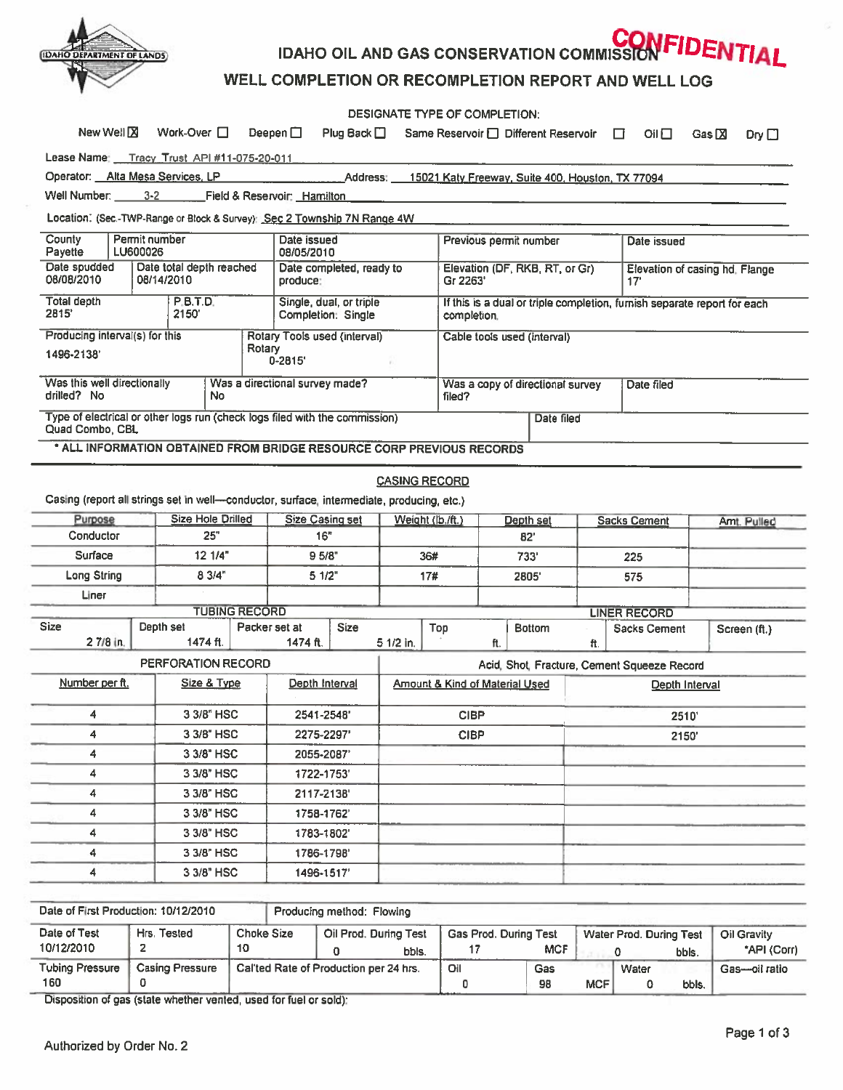

IDAHO OIL AND GAS CONSERVATION COMMISSION FIDENTIAL

## WELL COMPLETION OR RECOMPLETION REPORT AND WELL LOG

|                                                                                                                   |                           |                                                    |            |                                                                             |                     | DESIGNATE TYPE OF COMPLETION:              |                                                                                         |            |                                      |                                       |                                             |                 |              |
|-------------------------------------------------------------------------------------------------------------------|---------------------------|----------------------------------------------------|------------|-----------------------------------------------------------------------------|---------------------|--------------------------------------------|-----------------------------------------------------------------------------------------|------------|--------------------------------------|---------------------------------------|---------------------------------------------|-----------------|--------------|
|                                                                                                                   | New Well <sup>[2]</sup>   | Work-Over $\square$                                |            | Deepen $\square$                                                            | Plug Back $\square$ |                                            |                                                                                         |            | Same Reservoir □ Different Reservoir |                                       | OII<br>□                                    | Gas $\boxtimes$ | Dry $\Box$   |
| Lease Name: Tracy Trust API #11-075-20-011                                                                        |                           |                                                    |            |                                                                             |                     |                                            |                                                                                         |            |                                      |                                       |                                             |                 |              |
| Operator: Alta Mesa Services, LP<br>Address: 15021 Katy Freeway, Suite 400, Houston, TX 77094                     |                           |                                                    |            |                                                                             |                     |                                            |                                                                                         |            |                                      |                                       |                                             |                 |              |
| Well Number: 3-2 Field & Reservoir: Hamilton                                                                      |                           |                                                    |            |                                                                             |                     |                                            |                                                                                         |            |                                      |                                       |                                             |                 |              |
| Location. (Sec.-TWP-Range or Block & Survey): Sec 2 Township 7N Range 4W                                          |                           |                                                    |            |                                                                             |                     |                                            |                                                                                         |            |                                      |                                       |                                             |                 |              |
| County<br>Payette                                                                                                 | Permit number<br>LU600026 |                                                    |            | Date issued<br>08/05/2010                                                   |                     |                                            | Previous permit number                                                                  |            |                                      | Date issued                           |                                             |                 |              |
| Date spudded<br>08/08/2010                                                                                        | 08/14/2010                | Date total depth reached                           |            | Date completed, ready to<br>produce:                                        |                     |                                            | Elevation (DF, RKB, RT, or Gr)<br>Gr 2263'                                              |            |                                      | Elevation of casing hd, Flange<br>17' |                                             |                 |              |
| Total depth<br><b>P.B.T.D.</b><br>2815<br>2150                                                                    |                           |                                                    |            | Single, dual, or triple<br>Completion: Single                               |                     |                                            | If this is a dual or triple completion, furnish separate report for each<br>completion. |            |                                      |                                       |                                             |                 |              |
| Producing interval(s) for this                                                                                    |                           |                                                    |            | Rotary Tools used (interval)                                                |                     |                                            | Cable tools used (interval)                                                             |            |                                      |                                       |                                             |                 |              |
| Rotary<br>1496-2138'<br>$0 - 2815'$                                                                               |                           |                                                    |            |                                                                             |                     |                                            |                                                                                         |            |                                      |                                       |                                             |                 |              |
| Was this well directionally<br>drilled? No                                                                        |                           | No.                                                |            | Was a directional survey made?                                              |                     | Was a copy of directional survey<br>filed? |                                                                                         |            | Date filed                           |                                       |                                             |                 |              |
| Quad Combo, CBL                                                                                                   |                           |                                                    |            | Type of electrical or other logs run (check logs filed with the commission) |                     |                                            |                                                                                         | Date filed |                                      |                                       |                                             |                 |              |
| * ALL INFORMATION OBTAINED FROM BRIDGE RESOURCE CORP PREVIOUS RECORDS                                             |                           |                                                    |            |                                                                             |                     |                                            |                                                                                         |            |                                      |                                       |                                             |                 |              |
| <b>CASING RECORD</b><br>Casing (report all strings set in well-conductor, surface, intermediate, producing, etc.) |                           |                                                    |            |                                                                             |                     |                                            |                                                                                         |            |                                      |                                       |                                             |                 |              |
| Purpose                                                                                                           |                           | <b>Size Hole Drilled</b>                           |            | <b>Size Casing set</b>                                                      |                     | Weight (lb./ft.)                           |                                                                                         | Depth set  |                                      |                                       | <b>Sacks Cement</b>                         |                 | Amt. Pulled  |
| Conductor                                                                                                         |                           | 25"                                                |            | 16"                                                                         |                     |                                            |                                                                                         | 82'        |                                      |                                       |                                             |                 |              |
| Surface                                                                                                           |                           | 12 1/4"                                            |            | 9.5/8"                                                                      |                     | 36#                                        |                                                                                         | 733'       |                                      | 225                                   |                                             |                 |              |
| <b>Long String</b>                                                                                                |                           | 83/4"                                              |            | 51/2"                                                                       |                     | 17#                                        |                                                                                         | 2805'      |                                      | 575                                   |                                             |                 |              |
| Liner                                                                                                             |                           |                                                    |            |                                                                             |                     |                                            |                                                                                         |            |                                      |                                       |                                             |                 |              |
| <b>Size</b>                                                                                                       |                           | <b>TUBING RECORD</b><br>Depth set<br>Packer set at |            |                                                                             |                     |                                            |                                                                                         |            |                                      |                                       | <b>LINER RECORD</b>                         |                 |              |
| 2 7/8 in.                                                                                                         |                           | 1474 ft.                                           |            | 1474 ft.                                                                    | <b>Size</b>         | 5 1/2 in.                                  | Top                                                                                     | ft.        | <b>Bottom</b>                        | ft.                                   | Sacks Cement                                |                 | Screen (ft.) |
|                                                                                                                   |                           | PERFORATION RECORD                                 |            |                                                                             |                     |                                            |                                                                                         |            |                                      |                                       | Acid, Shot, Fracture, Cement Squeeze Record |                 |              |
| Number per ft.                                                                                                    |                           | Size & Type                                        |            | Depth Interval                                                              |                     | <b>Amount &amp; Kind of Material Used</b>  |                                                                                         |            | Depth Interval                       |                                       |                                             |                 |              |
| 4                                                                                                                 |                           |                                                    | 3 3/8" HSC |                                                                             | 2541-2548'          |                                            | <b>CIBP</b>                                                                             |            |                                      | 2510                                  |                                             |                 |              |
| 4                                                                                                                 | 3 3/8" HSC                |                                                    |            | 2275-2297'                                                                  |                     | <b>CIBP</b>                                |                                                                                         |            |                                      | 2150'                                 |                                             |                 |              |
| 4                                                                                                                 |                           | 3 3/8" HSC                                         |            | 2055-2087'                                                                  |                     |                                            |                                                                                         |            |                                      |                                       |                                             |                 |              |
| 4                                                                                                                 |                           | 3 3/8" HSC                                         |            | 1722-1753'                                                                  |                     |                                            |                                                                                         |            |                                      |                                       |                                             |                 |              |
| 4                                                                                                                 | 3 3/8" HSC                |                                                    |            | 2117-2138'                                                                  |                     |                                            |                                                                                         |            |                                      |                                       |                                             |                 |              |
| 4                                                                                                                 | 3 3/8" HSC                |                                                    |            | 1758-1762'                                                                  |                     |                                            |                                                                                         |            |                                      |                                       |                                             |                 |              |
| 4                                                                                                                 | 3 3/8" HSC                |                                                    |            | 1783-1802'                                                                  |                     |                                            |                                                                                         |            |                                      |                                       |                                             |                 |              |
| 4                                                                                                                 | 3 3/8" HSC                |                                                    |            | 1786-1798'                                                                  |                     |                                            |                                                                                         |            |                                      |                                       |                                             |                 |              |
| 3 3/8" HSC<br>4                                                                                                   |                           |                                                    | 1496-1517' |                                                                             |                     |                                            |                                                                                         |            |                                      |                                       |                                             |                 |              |
|                                                                                                                   |                           |                                                    |            |                                                                             |                     |                                            |                                                                                         |            |                                      |                                       |                                             |                 |              |

Date of First Production: 10/12/2010 Producing method: Flowing Date of Test Hrs. Tested | Choke Size | Oil Prod. During Test | Gas Prod. During Test | Water Prod. During Test | Oil Gravity 10/12/2010 <sup>2</sup> <sup>10</sup> <sup>0</sup> bbls. <sup>17</sup> MCF <sup>0</sup> bbls. "API (Corr) Tubing Pressure | Casing Pressure | Cal'ted Rate of Production per 24 hrs. | Oil | Gas | Water | Gas-oil ratio 160 0 0 98 MCF 0 bbls.

Disposition of gas (state whether vented, used for fuel or sold):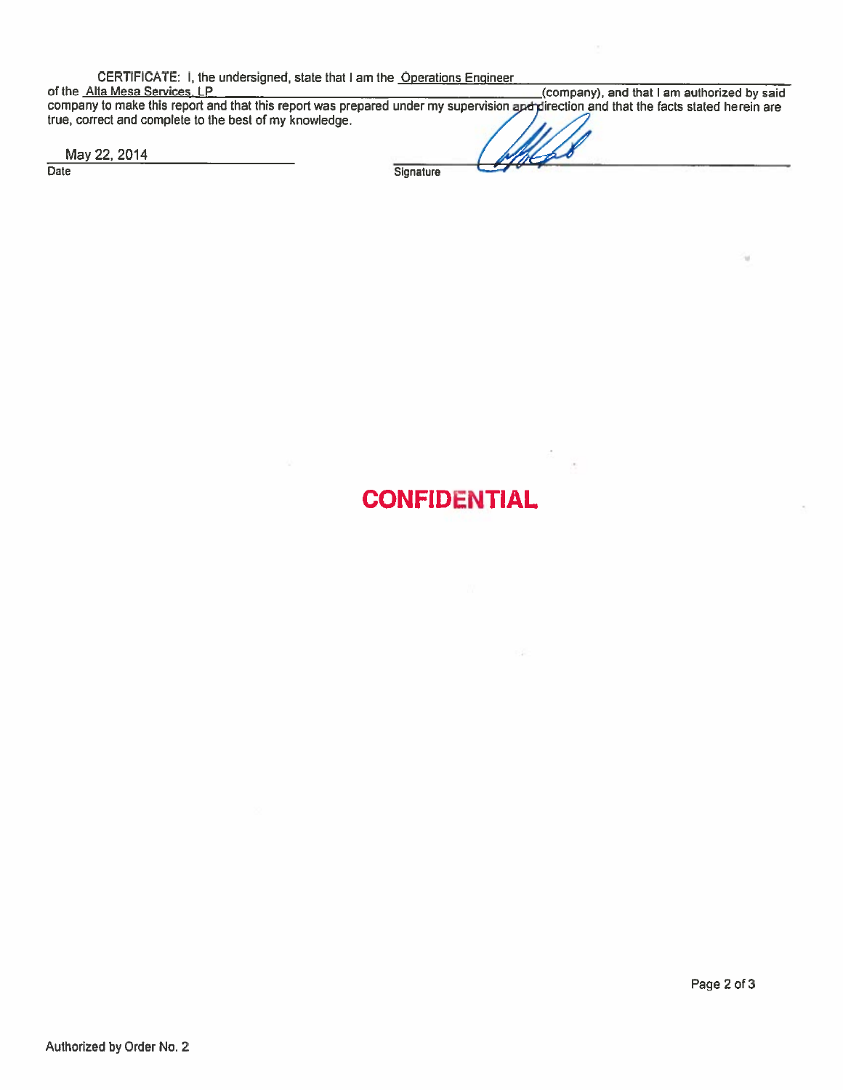CERTIFICATE: I, the undersigned, state that I am the Operations Engineer

of the <u>Alta Mesa Services, LP (company), and that I am authorized by said</u> company to make this report and that this report was prepared under my supervision and jurection and that the facts stated herein are true, correct and complete to the best of my knowledge.

May 22, 2014

Date

**Signature** 

## **CONFIDENTIAL**